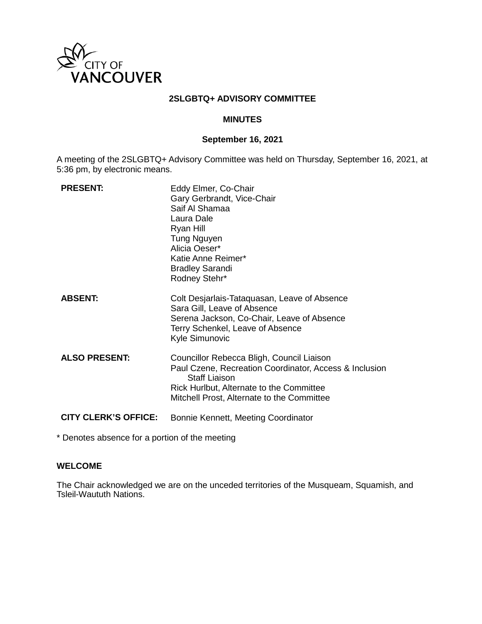

## **2SLGBTQ+ ADVISORY COMMITTEE**

### **MINUTES**

### **September 16, 2021**

A meeting of the 2SLGBTQ+ Advisory Committee was held on Thursday, September 16, 2021, at 5:36 pm, by electronic means.

| <b>PRESENT:</b>             | Eddy Elmer, Co-Chair<br>Gary Gerbrandt, Vice-Chair<br>Saif Al Shamaa<br>Laura Dale<br>Ryan Hill<br><b>Tung Nguyen</b><br>Alicia Oeser*<br>Katie Anne Reimer*<br><b>Bradley Sarandi</b><br>Rodney Stehr*               |
|-----------------------------|-----------------------------------------------------------------------------------------------------------------------------------------------------------------------------------------------------------------------|
| <b>ABSENT:</b>              | Colt Desjarlais-Tataquasan, Leave of Absence<br>Sara Gill, Leave of Absence<br>Serena Jackson, Co-Chair, Leave of Absence<br>Terry Schenkel, Leave of Absence<br>Kyle Simunovic                                       |
| <b>ALSO PRESENT:</b>        | Councillor Rebecca Bligh, Council Liaison<br>Paul Czene, Recreation Coordinator, Access & Inclusion<br><b>Staff Liaison</b><br>Rick Hurlbut, Alternate to the Committee<br>Mitchell Prost, Alternate to the Committee |
| <b>CITY CLERK'S OFFICE:</b> | Bonnie Kennett, Meeting Coordinator                                                                                                                                                                                   |

\* Denotes absence for a portion of the meeting

# **WELCOME**

The Chair acknowledged we are on the unceded territories of the Musqueam, Squamish, and Tsleil-Waututh Nations.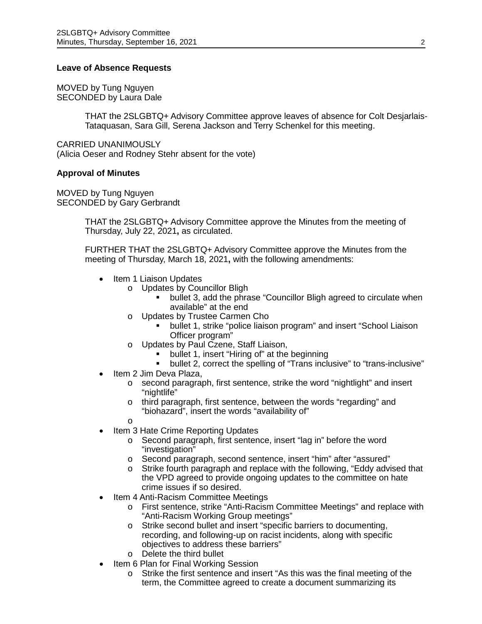#### **Leave of Absence Requests**

MOVED by Tung Nguyen SECONDED by Laura Dale

> THAT the 2SLGBTQ+ Advisory Committee approve leaves of absence for Colt Desjarlais-Tataquasan, Sara Gill, Serena Jackson and Terry Schenkel for this meeting.

CARRIED UNANIMOUSLY (Alicia Oeser and Rodney Stehr absent for the vote)

#### **Approval of Minutes**

MOVED by Tung Nguyen SECONDED by Gary Gerbrandt

> THAT the 2SLGBTQ+ Advisory Committee approve the Minutes from the meeting of Thursday, July 22, 2021**,** as circulated.

> FURTHER THAT the 2SLGBTQ+ Advisory Committee approve the Minutes from the meeting of Thursday, March 18, 2021**,** with the following amendments:

- Item 1 Liaison Updates
	- o Updates by Councillor Bligh
		- bullet 3, add the phrase "Councillor Bligh agreed to circulate when available" at the end
	- o Updates by Trustee Carmen Cho
		- bullet 1, strike "police liaison program" and insert "School Liaison Officer program"
	- o Updates by Paul Czene, Staff Liaison,
		- bullet 1, insert "Hiring of" at the beginning<br>■ bullet 2, correct the spelling of "Trans inclu
		- bullet 2, correct the spelling of "Trans inclusive" to "trans-inclusive"
- Item 2 Jim Deva Plaza,
	- o second paragraph, first sentence, strike the word "nightlight" and insert "nightlife"
	- o third paragraph, first sentence, between the words "regarding" and "biohazard", insert the words "availability of"
	- o
- Item 3 Hate Crime Reporting Updates
	- o Second paragraph, first sentence, insert "lag in" before the word "investigation"
	- o Second paragraph, second sentence, insert "him" after "assured"
	- o Strike fourth paragraph and replace with the following, "Eddy advised that the VPD agreed to provide ongoing updates to the committee on hate crime issues if so desired.
- Item 4 Anti-Racism Committee Meetings
	- o First sentence, strike "Anti-Racism Committee Meetings" and replace with "Anti-Racism Working Group meetings"
	- o Strike second bullet and insert "specific barriers to documenting, recording, and following-up on racist incidents, along with specific objectives to address these barriers"
	- o Delete the third bullet
- Item 6 Plan for Final Working Session
	- o Strike the first sentence and insert "As this was the final meeting of the term, the Committee agreed to create a document summarizing its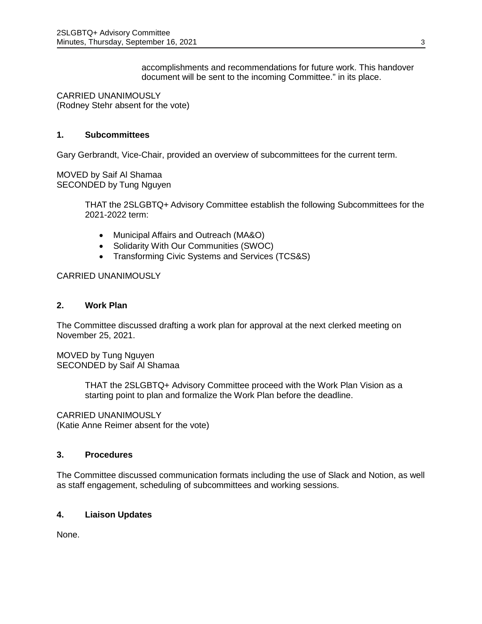accomplishments and recommendations for future work. This handover document will be sent to the incoming Committee." in its place.

CARRIED UNANIMOUSLY (Rodney Stehr absent for the vote)

## **1. Subcommittees**

Gary Gerbrandt, Vice-Chair, provided an overview of subcommittees for the current term.

MOVED by Saif Al Shamaa SECONDED by Tung Nguyen

> THAT the 2SLGBTQ+ Advisory Committee establish the following Subcommittees for the 2021-2022 term:

- Municipal Affairs and Outreach (MA&O)
- Solidarity With Our Communities (SWOC)
- Transforming Civic Systems and Services (TCS&S)

## CARRIED UNANIMOUSLY

### **2. Work Plan**

The Committee discussed drafting a work plan for approval at the next clerked meeting on November 25, 2021.

MOVED by Tung Nguyen SECONDED by Saif Al Shamaa

> THAT the 2SLGBTQ+ Advisory Committee proceed with the Work Plan Vision as a starting point to plan and formalize the Work Plan before the deadline.

CARRIED UNANIMOUSLY (Katie Anne Reimer absent for the vote)

## **3. Procedures**

The Committee discussed communication formats including the use of Slack and Notion, as well as staff engagement, scheduling of subcommittees and working sessions.

### **4. Liaison Updates**

None.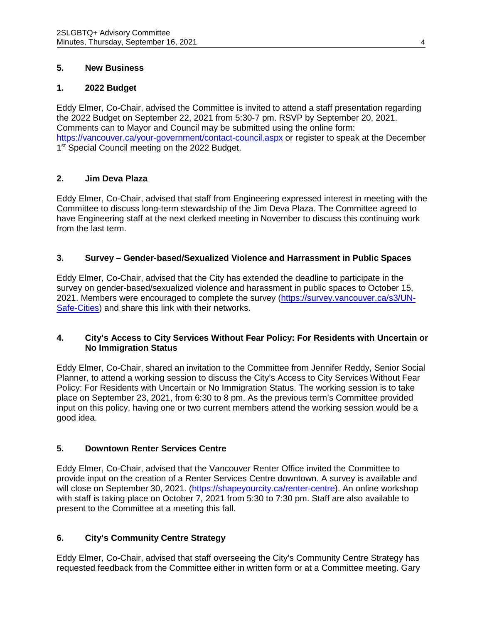## **5. New Business**

### **1. 2022 Budget**

Eddy Elmer, Co-Chair, advised the Committee is invited to attend a staff presentation regarding the 2022 Budget on September 22, 2021 from 5:30-7 pm. RSVP by September 20, 2021. Comments can to Mayor and Council may be submitted using the online form: <https://vancouver.ca/your-government/contact-council.aspx> or register to speak at the December 1<sup>st</sup> Special Council meeting on the 2022 Budget.

## **2. Jim Deva Plaza**

Eddy Elmer, Co-Chair, advised that staff from Engineering expressed interest in meeting with the Committee to discuss long-term stewardship of the Jim Deva Plaza. The Committee agreed to have Engineering staff at the next clerked meeting in November to discuss this continuing work from the last term.

## **3. Survey – Gender-based/Sexualized Violence and Harrassment in Public Spaces**

Eddy Elmer, Co-Chair, advised that the City has extended the deadline to participate in the survey on gender-based/sexualized violence and harassment in public spaces to October 15, 2021. Members were encouraged to complete the survey [\(https://survey.vancouver.ca/s3/UN-](https://survey.vancouver.ca/s3/UN-Safe-Cities)[Safe-Cities\)](https://survey.vancouver.ca/s3/UN-Safe-Cities) and share this link with their networks.

## **4. City's Access to City Services Without Fear Policy: For Residents with Uncertain or No Immigration Status**

Eddy Elmer, Co-Chair, shared an invitation to the Committee from Jennifer Reddy, Senior Social Planner, to attend a working session to discuss the City's Access to City Services Without Fear Policy: For Residents with Uncertain or No Immigration Status. The working session is to take place on September 23, 2021, from 6:30 to 8 pm. As the previous term's Committee provided input on this policy, having one or two current members attend the working session would be a good idea.

## **5. Downtown Renter Services Centre**

Eddy Elmer, Co-Chair, advised that the Vancouver Renter Office invited the Committee to provide input on the creation of a Renter Services Centre downtown. A survey is available and will close on September 30, 2021. (https://shapeyourcity.ca/renter-centre). An online workshop with staff is taking place on October 7, 2021 from 5:30 to 7:30 pm. Staff are also available to present to the Committee at a meeting this fall.

## **6. City's Community Centre Strategy**

Eddy Elmer, Co-Chair, advised that staff overseeing the City's Community Centre Strategy has requested feedback from the Committee either in written form or at a Committee meeting. Gary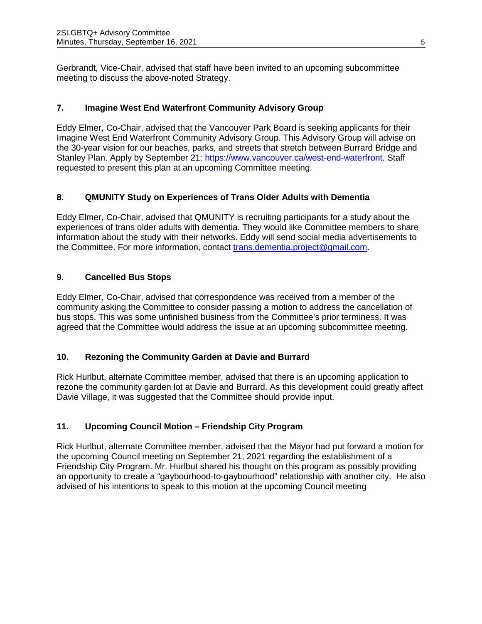Gerbrandt, Vice-Chair, advised that staff have been invited to an upcoming subcommittee meeting to discuss the above-noted Strategy.

# **7. Imagine West End Waterfront Community Advisory Group**

Eddy Elmer, Co-Chair, advised that the Vancouver Park Board is seeking applicants for their Imagine West End Waterfront Community Advisory Group. This Advisory Group will advise on the 30-year vision for our beaches, parks, and streets that stretch between Burrard Bridge and Stanley Plan. Apply by September 21: https://www.vancouver.ca/west-end-waterfront. Staff requested to present this plan at an upcoming Committee meeting.

# **8. QMUNITY Study on Experiences of Trans Older Adults with Dementia**

Eddy Elmer, Co-Chair, advised that QMUNITY is recruiting participants for a study about the experiences of trans older adults with dementia. They would like Committee members to share information about the study with their networks. Eddy will send social media advertisements to the Committee. For more information, contact [trans.dementia.project@gmail.com.](mailto:trans.dementia.project@gmail.com)

# **9. Cancelled Bus Stops**

Eddy Elmer, Co-Chair, advised that correspondence was received from a member of the community asking the Committee to consider passing a motion to address the cancellation of bus stops. This was some unfinished business from the Committee's prior terminess. It was agreed that the Committee would address the issue at an upcoming subcommittee meeting.

## **10. Rezoning the Community Garden at Davie and Burrard**

Rick Hurlbut, alternate Committee member, advised that there is an upcoming application to rezone the community garden lot at Davie and Burrard. As this development could greatly affect Davie Village, it was suggested that the Committee should provide input.

# **11. Upcoming Council Motion – Friendship City Program**

Rick Hurlbut, alternate Committee member, advised that the Mayor had put forward a motion for the upcoming Council meeting on September 21, 2021 regarding the establishment of a Friendship City Program. Mr. Hurlbut shared his thought on this program as possibly providing an opportunity to create a "gaybourhood-to-gaybourhood" relationship with another city. He also advised of his intentions to speak to this motion at the upcoming Council meeting